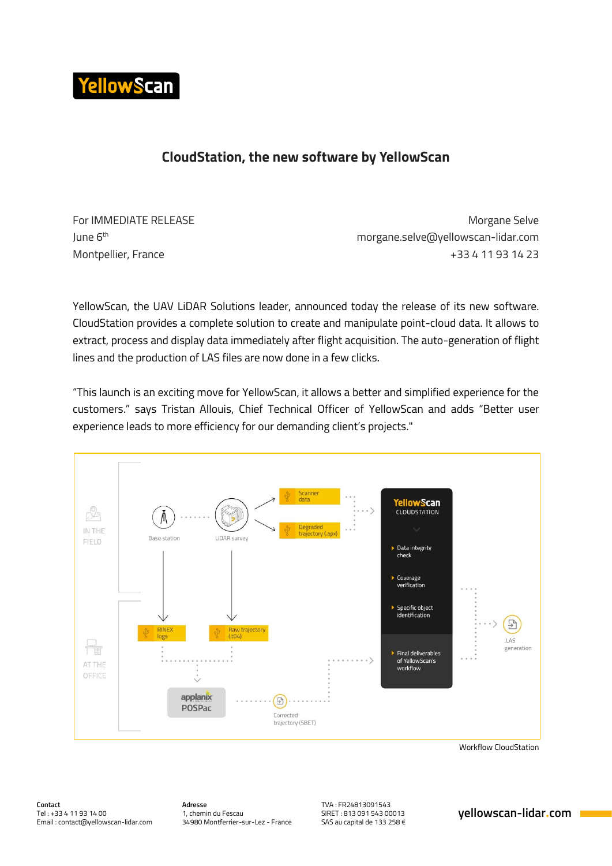

## **CloudStation, the new software by YellowScan**

June 6<sup>th</sup>

For IMMEDIATE RELEASE **Morgane** Selve morgane.selve@yellowscan-lidar.com Montpellier, France +33 4 11 93 14 23

YellowScan, the UAV LiDAR Solutions leader, announced today the release of its new software. CloudStation provides a complete solution to create and manipulate point-cloud data. It allows to extract, process and display data immediately after flight acquisition. The auto-generation of flight lines and the production of LAS files are now done in a few clicks.

"This launch is an exciting move for YellowScan, it allows a better and simplified experience for the customers." says Tristan Allouis, Chief Technical Officer of YellowScan and adds "Better user experience leads to more efficiency for our demanding client's projects."



Workflow CloudStation

**Adresse** 1, chemin du Fescau 34980 Montferrier-sur-Lez - France

TVA : FR24813091543 SIRET : 813 091 543 00013 SAS au capital de 133 258 €